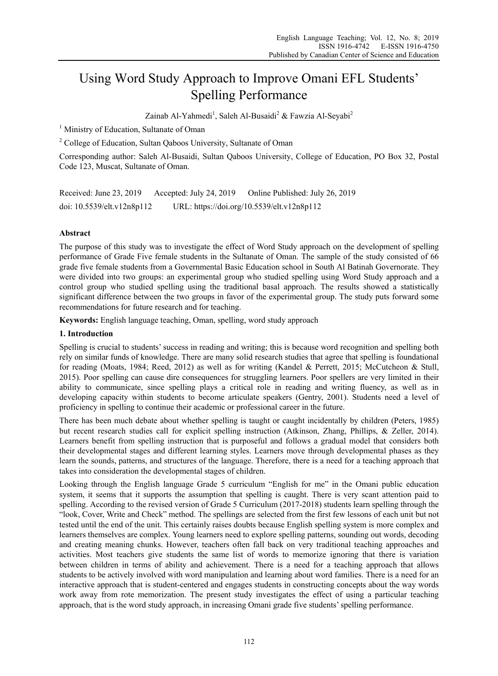# Using Word Study Approach to Improve Omani EFL Students' Spelling Performance

Zainab Al-Yahmedi<sup>1</sup>, Saleh Al-Busaidi<sup>2</sup> & Fawzia Al-Seyabi<sup>2</sup>

<sup>1</sup> Ministry of Education, Sultanate of Oman

<sup>2</sup> College of Education, Sultan Qaboos University, Sultanate of Oman

Corresponding author: Saleh Al-Busaidi, Sultan Qaboos University, College of Education, PO Box 32, Postal Code 123, Muscat, Sultanate of Oman.

Received: June 23, 2019 Accepted: July 24, 2019 Online Published: July 26, 2019 doi: 10.5539/elt.v12n8p112 URL: https://doi.org/10.5539/elt.v12n8p112

# **Abstract**

The purpose of this study was to investigate the effect of Word Study approach on the development of spelling performance of Grade Five female students in the Sultanate of Oman. The sample of the study consisted of 66 grade five female students from a Governmental Basic Education school in South Al Batinah Governorate. They were divided into two groups: an experimental group who studied spelling using Word Study approach and a control group who studied spelling using the traditional basal approach. The results showed a statistically significant difference between the two groups in favor of the experimental group. The study puts forward some recommendations for future research and for teaching.

**Keywords:** English language teaching, Oman, spelling, word study approach

# **1. Introduction**

Spelling is crucial to students' success in reading and writing; this is because word recognition and spelling both rely on similar funds of knowledge. There are many solid research studies that agree that spelling is foundational for reading (Moats, 1984; Reed, 2012) as well as for writing (Kandel & Perrett, 2015; McCutcheon & Stull, 2015). Poor spelling can cause dire consequences for struggling learners. Poor spellers are very limited in their ability to communicate, since spelling plays a critical role in reading and writing fluency, as well as in developing capacity within students to become articulate speakers (Gentry, 2001). Students need a level of proficiency in spelling to continue their academic or professional career in the future.

There has been much debate about whether spelling is taught or caught incidentally by children (Peters, 1985) but recent research studies call for explicit spelling instruction (Atkinson, Zhang, Phillips, & Zeller, 2014). Learners benefit from spelling instruction that is purposeful and follows a gradual model that considers both their developmental stages and different learning styles. Learners move through developmental phases as they learn the sounds, patterns, and structures of the language. Therefore, there is a need for a teaching approach that takes into consideration the developmental stages of children.

Looking through the English language Grade 5 curriculum "English for me" in the Omani public education system, it seems that it supports the assumption that spelling is caught. There is very scant attention paid to spelling. According to the revised version of Grade 5 Curriculum (2017-2018) students learn spelling through the "look, Cover, Write and Check" method. The spellings are selected from the first few lessons of each unit but not tested until the end of the unit. This certainly raises doubts because English spelling system is more complex and learners themselves are complex. Young learners need to explore spelling patterns, sounding out words, decoding and creating meaning chunks. However, teachers often fall back on very traditional teaching approaches and activities. Most teachers give students the same list of words to memorize ignoring that there is variation between children in terms of ability and achievement. There is a need for a teaching approach that allows students to be actively involved with word manipulation and learning about word families. There is a need for an interactive approach that is student-centered and engages students in constructing concepts about the way words work away from rote memorization. The present study investigates the effect of using a particular teaching approach, that is the word study approach, in increasing Omani grade five students' spelling performance.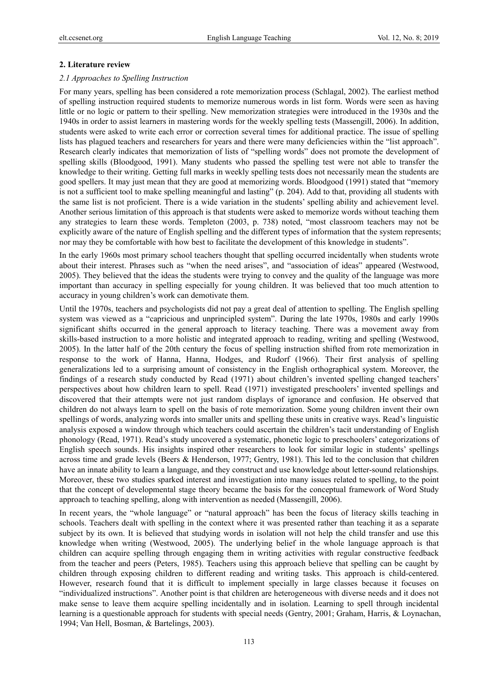### **2. Literature review**

#### *2.1 Approaches to Spelling Instruction*

For many years, spelling has been considered a rote memorization process (Schlagal, 2002). The earliest method of spelling instruction required students to memorize numerous words in list form. Words were seen as having little or no logic or pattern to their spelling. New memorization strategies were introduced in the 1930s and the 1940s in order to assist learners in mastering words for the weekly spelling tests (Massengill, 2006). In addition, students were asked to write each error or correction several times for additional practice. The issue of spelling lists has plagued teachers and researchers for years and there were many deficiencies within the "list approach". Research clearly indicates that memorization of lists of "spelling words" does not promote the development of spelling skills (Bloodgood, 1991). Many students who passed the spelling test were not able to transfer the knowledge to their writing. Getting full marks in weekly spelling tests does not necessarily mean the students are good spellers. It may just mean that they are good at memorizing words. Bloodgood (1991) stated that "memory is not a sufficient tool to make spelling meaningful and lasting" (p. 204). Add to that, providing all students with the same list is not proficient. There is a wide variation in the students' spelling ability and achievement level. Another serious limitation of this approach is that students were asked to memorize words without teaching them any strategies to learn these words. Templeton (2003, p. 738) noted, "most classroom teachers may not be explicitly aware of the nature of English spelling and the different types of information that the system represents; nor may they be comfortable with how best to facilitate the development of this knowledge in students".

In the early 1960s most primary school teachers thought that spelling occurred incidentally when students wrote about their interest. Phrases such as "when the need arises", and "association of ideas" appeared (Westwood, 2005). They believed that the ideas the students were trying to convey and the quality of the language was more important than accuracy in spelling especially for young children. It was believed that too much attention to accuracy in young children's work can demotivate them.

Until the 1970s, teachers and psychologists did not pay a great deal of attention to spelling. The English spelling system was viewed as a "capricious and unprincipled system". During the late 1970s, 1980s and early 1990s significant shifts occurred in the general approach to literacy teaching. There was a movement away from skills-based instruction to a more holistic and integrated approach to reading, writing and spelling (Westwood, 2005). In the latter half of the 20th century the focus of spelling instruction shifted from rote memorization in response to the work of Hanna, Hanna, Hodges, and Rudorf (1966). Their first analysis of spelling generalizations led to a surprising amount of consistency in the English orthographical system. Moreover, the findings of a research study conducted by Read (1971) about children's invented spelling changed teachers' perspectives about how children learn to spell. Read (1971) investigated preschoolers' invented spellings and discovered that their attempts were not just random displays of ignorance and confusion. He observed that children do not always learn to spell on the basis of rote memorization. Some young children invent their own spellings of words, analyzing words into smaller units and spelling these units in creative ways. Read's linguistic analysis exposed a window through which teachers could ascertain the children's tacit understanding of English phonology (Read, 1971). Read's study uncovered a systematic, phonetic logic to preschoolers' categorizations of English speech sounds. His insights inspired other researchers to look for similar logic in students' spellings across time and grade levels (Beers & Henderson, 1977; Gentry, 1981). This led to the conclusion that children have an innate ability to learn a language, and they construct and use knowledge about letter-sound relationships. Moreover, these two studies sparked interest and investigation into many issues related to spelling, to the point that the concept of developmental stage theory became the basis for the conceptual framework of Word Study approach to teaching spelling, along with intervention as needed (Massengill, 2006).

In recent years, the "whole language" or "natural approach" has been the focus of literacy skills teaching in schools. Teachers dealt with spelling in the context where it was presented rather than teaching it as a separate subject by its own. It is believed that studying words in isolation will not help the child transfer and use this knowledge when writing (Westwood, 2005). The underlying belief in the whole language approach is that children can acquire spelling through engaging them in writing activities with regular constructive feedback from the teacher and peers (Peters, 1985). Teachers using this approach believe that spelling can be caught by children through exposing children to different reading and writing tasks. This approach is child-centered. However, research found that it is difficult to implement specially in large classes because it focuses on "individualized instructions". Another point is that children are heterogeneous with diverse needs and it does not make sense to leave them acquire spelling incidentally and in isolation. Learning to spell through incidental learning is a questionable approach for students with special needs (Gentry, 2001; Graham, Harris, & Loynachan, 1994; Van Hell, Bosman, & Bartelings, 2003).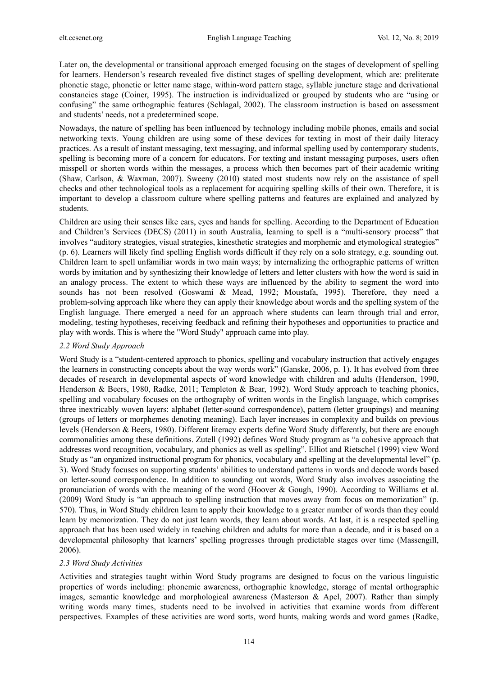Later on, the developmental or transitional approach emerged focusing on the stages of development of spelling for learners. Henderson's research revealed five distinct stages of spelling development, which are: preliterate phonetic stage, phonetic or letter name stage, within-word pattern stage, syllable juncture stage and derivational constancies stage (Coiner, 1995). The instruction is individualized or grouped by students who are "using or confusing" the same orthographic features (Schlagal, 2002). The classroom instruction is based on assessment and students' needs, not a predetermined scope.

Nowadays, the nature of spelling has been influenced by technology including mobile phones, emails and social networking texts. Young children are using some of these devices for texting in most of their daily literacy practices. As a result of instant messaging, text messaging, and informal spelling used by contemporary students, spelling is becoming more of a concern for educators. For texting and instant messaging purposes, users often misspell or shorten words within the messages, a process which then becomes part of their academic writing (Shaw, Carlson, & Waxman, 2007). Sweeny (2010) stated most students now rely on the assistance of spell checks and other technological tools as a replacement for acquiring spelling skills of their own. Therefore, it is important to develop a classroom culture where spelling patterns and features are explained and analyzed by students.

Children are using their senses like ears, eyes and hands for spelling. According to the Department of Education and Children's Services (DECS) (2011) in south Australia, learning to spell is a "multi-sensory process" that involves "auditory strategies, visual strategies, kinesthetic strategies and morphemic and etymological strategies" (p. 6). Learners will likely find spelling English words difficult if they rely on a solo strategy, e.g. sounding out. Children learn to spell unfamiliar words in two main ways; by internalizing the orthographic patterns of written words by imitation and by synthesizing their knowledge of letters and letter clusters with how the word is said in an analogy process. The extent to which these ways are influenced by the ability to segment the word into sounds has not been resolved (Goswami & Mead, 1992; Moustafa, 1995). Therefore, they need a problem-solving approach like where they can apply their knowledge about words and the spelling system of the English language. There emerged a need for an approach where students can learn through trial and error, modeling, testing hypotheses, receiving feedback and refining their hypotheses and opportunities to practice and play with words. This is where the "Word Study" approach came into play.

## *2.2 Word Study Approach*

Word Study is a "student-centered approach to phonics, spelling and vocabulary instruction that actively engages the learners in constructing concepts about the way words work" (Ganske, 2006, p. 1). It has evolved from three decades of research in developmental aspects of word knowledge with children and adults (Henderson, 1990, Henderson & Beers, 1980, Radke, 2011; Templeton & Bear, 1992). Word Study approach to teaching phonics, spelling and vocabulary focuses on the orthography of written words in the English language, which comprises three inextricably woven layers: alphabet (letter-sound correspondence), pattern (letter groupings) and meaning (groups of letters or morphemes denoting meaning). Each layer increases in complexity and builds on previous levels (Henderson & Beers, 1980). Different literacy experts define Word Study differently, but there are enough commonalities among these definitions. Zutell (1992) defines Word Study program as "a cohesive approach that addresses word recognition, vocabulary, and phonics as well as spelling". Elliot and Rietschel (1999) view Word Study as "an organized instructional program for phonics, vocabulary and spelling at the developmental level" (p. 3). Word Study focuses on supporting students' abilities to understand patterns in words and decode words based on letter-sound correspondence. In addition to sounding out words, Word Study also involves associating the pronunciation of words with the meaning of the word (Hoover & Gough, 1990). According to Williams et al. (2009) Word Study is "an approach to spelling instruction that moves away from focus on memorization" (p. 570). Thus, in Word Study children learn to apply their knowledge to a greater number of words than they could learn by memorization. They do not just learn words, they learn about words. At last, it is a respected spelling approach that has been used widely in teaching children and adults for more than a decade, and it is based on a developmental philosophy that learners' spelling progresses through predictable stages over time (Massengill, 2006).

## *2.3 Word Study Activities*

Activities and strategies taught within Word Study programs are designed to focus on the various linguistic properties of words including: phonemic awareness, orthographic knowledge, storage of mental orthographic images, semantic knowledge and morphological awareness (Masterson & Apel, 2007). Rather than simply writing words many times, students need to be involved in activities that examine words from different perspectives. Examples of these activities are word sorts, word hunts, making words and word games (Radke,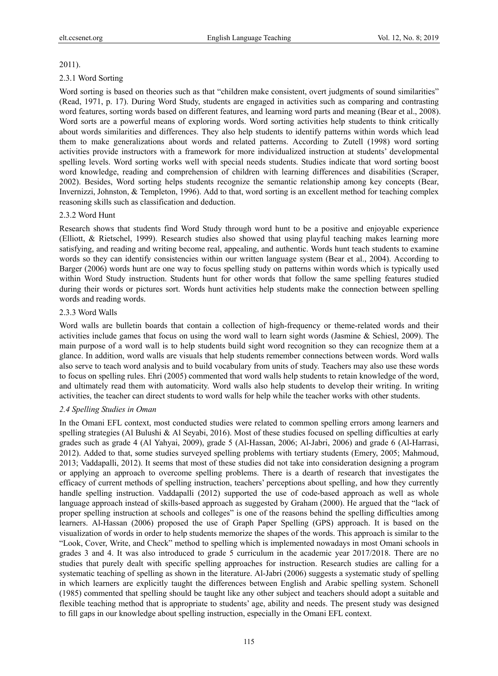#### 2011).

## 2.3.1 Word Sorting

Word sorting is based on theories such as that "children make consistent, overt judgments of sound similarities" (Read, 1971, p. 17). During Word Study, students are engaged in activities such as comparing and contrasting word features, sorting words based on different features, and learning word parts and meaning (Bear et al., 2008). Word sorts are a powerful means of exploring words. Word sorting activities help students to think critically about words similarities and differences. They also help students to identify patterns within words which lead them to make generalizations about words and related patterns. According to Zutell (1998) word sorting activities provide instructors with a framework for more individualized instruction at students' developmental spelling levels. Word sorting works well with special needs students. Studies indicate that word sorting boost word knowledge, reading and comprehension of children with learning differences and disabilities (Scraper, 2002). Besides, Word sorting helps students recognize the semantic relationship among key concepts (Bear, Invernizzi, Johnston, & Templeton, 1996). Add to that, word sorting is an excellent method for teaching complex reasoning skills such as classification and deduction.

### 2.3.2 Word Hunt

Research shows that students find Word Study through word hunt to be a positive and enjoyable experience (Elliott, & Rietschel, 1999). Research studies also showed that using playful teaching makes learning more satisfying, and reading and writing become real, appealing, and authentic. Words hunt teach students to examine words so they can identify consistencies within our written language system (Bear et al., 2004). According to Barger (2006) words hunt are one way to focus spelling study on patterns within words which is typically used within Word Study instruction. Students hunt for other words that follow the same spelling features studied during their words or pictures sort. Words hunt activities help students make the connection between spelling words and reading words.

### 2.3.3 Word Walls

Word walls are bulletin boards that contain a collection of high-frequency or theme-related words and their activities include games that focus on using the word wall to learn sight words (Jasmine & Schiesl, 2009). The main purpose of a word wall is to help students build sight word recognition so they can recognize them at a glance. In addition, word walls are visuals that help students remember connections between words. Word walls also serve to teach word analysis and to build vocabulary from units of study. Teachers may also use these words to focus on spelling rules. Ehri (2005) commented that word walls help students to retain knowledge of the word, and ultimately read them with automaticity. Word walls also help students to develop their writing. In writing activities, the teacher can direct students to word walls for help while the teacher works with other students.

#### *2.4 Spelling Studies in Oman*

In the Omani EFL context, most conducted studies were related to common spelling errors among learners and spelling strategies (Al Bulushi & Al Seyabi, 2016). Most of these studies focused on spelling difficulties at early grades such as grade 4 (Al Yahyai, 2009), grade 5 (Al-Hassan, 2006; Al-Jabri, 2006) and grade 6 (Al-Harrasi, 2012). Added to that, some studies surveyed spelling problems with tertiary students (Emery, 2005; Mahmoud, 2013; Vaddapalli, 2012). It seems that most of these studies did not take into consideration designing a program or applying an approach to overcome spelling problems. There is a dearth of research that investigates the efficacy of current methods of spelling instruction, teachers' perceptions about spelling, and how they currently handle spelling instruction. Vaddapalli (2012) supported the use of code-based approach as well as whole language approach instead of skills-based approach as suggested by Graham (2000). He argued that the "lack of proper spelling instruction at schools and colleges" is one of the reasons behind the spelling difficulties among learners. Al-Hassan (2006) proposed the use of Graph Paper Spelling (GPS) approach. It is based on the visualization of words in order to help students memorize the shapes of the words. This approach is similar to the "Look, Cover, Write, and Check" method to spelling which is implemented nowadays in most Omani schools in grades 3 and 4. It was also introduced to grade 5 curriculum in the academic year 2017/2018. There are no studies that purely dealt with specific spelling approaches for instruction. Research studies are calling for a systematic teaching of spelling as shown in the literature. Al-Jabri (2006) suggests a systematic study of spelling in which learners are explicitly taught the differences between English and Arabic spelling system. Schonell (1985) commented that spelling should be taught like any other subject and teachers should adopt a suitable and flexible teaching method that is appropriate to students' age, ability and needs. The present study was designed to fill gaps in our knowledge about spelling instruction, especially in the Omani EFL context.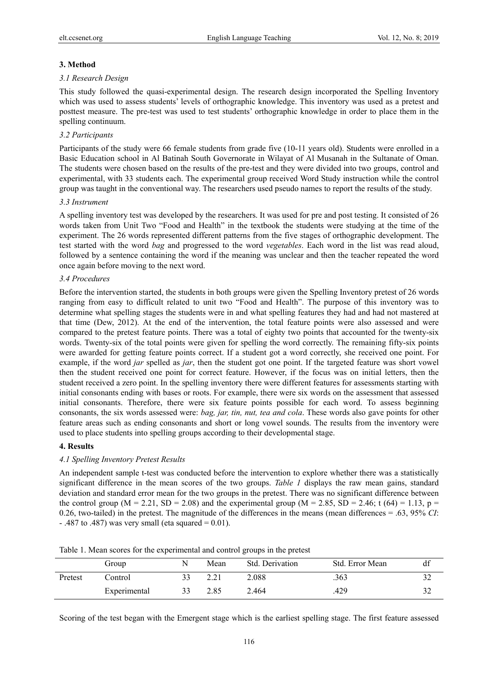## **3. Method**

## *3.1 Research Design*

This study followed the quasi-experimental design. The research design incorporated the Spelling Inventory which was used to assess students' levels of orthographic knowledge. This inventory was used as a pretest and posttest measure. The pre-test was used to test students' orthographic knowledge in order to place them in the spelling continuum.

## *3.2 Participants*

Participants of the study were 66 female students from grade five (10-11 years old). Students were enrolled in a Basic Education school in Al Batinah South Governorate in Wilayat of Al Musanah in the Sultanate of Oman. The students were chosen based on the results of the pre-test and they were divided into two groups, control and experimental, with 33 students each. The experimental group received Word Study instruction while the control group was taught in the conventional way. The researchers used pseudo names to report the results of the study.

### *3.3 Instrument*

A spelling inventory test was developed by the researchers. It was used for pre and post testing. It consisted of 26 words taken from Unit Two "Food and Health" in the textbook the students were studying at the time of the experiment. The 26 words represented different patterns from the five stages of orthographic development. The test started with the word *bag* and progressed to the word *vegetables*. Each word in the list was read aloud, followed by a sentence containing the word if the meaning was unclear and then the teacher repeated the word once again before moving to the next word.

### *3.4 Procedures*

Before the intervention started, the students in both groups were given the Spelling Inventory pretest of 26 words ranging from easy to difficult related to unit two "Food and Health". The purpose of this inventory was to determine what spelling stages the students were in and what spelling features they had and had not mastered at that time (Dew, 2012). At the end of the intervention, the total feature points were also assessed and were compared to the pretest feature points. There was a total of eighty two points that accounted for the twenty-six words. Twenty-six of the total points were given for spelling the word correctly. The remaining fifty-six points were awarded for getting feature points correct. If a student got a word correctly, she received one point. For example, if the word *jar* spelled as *jar*, then the student got one point. If the targeted feature was short vowel then the student received one point for correct feature. However, if the focus was on initial letters, then the student received a zero point. In the spelling inventory there were different features for assessments starting with initial consonants ending with bases or roots. For example, there were six words on the assessment that assessed initial consonants. Therefore, there were six feature points possible for each word. To assess beginning consonants, the six words assessed were: *bag, jar, tin, nut, tea and cola*. These words also gave points for other feature areas such as ending consonants and short or long vowel sounds. The results from the inventory were used to place students into spelling groups according to their developmental stage.

#### **4. Results**

## *4.1 Spelling Inventory Pretest Results*

An independent sample t-test was conducted before the intervention to explore whether there was a statistically significant difference in the mean scores of the two groups. *Table 1* displays the raw mean gains, standard deviation and standard error mean for the two groups in the pretest. There was no significant difference between the control group (M = 2.21, SD = 2.08) and the experimental group (M = 2.85, SD = 2.46; t (64) = 1.13, p = 0.26, two-tailed) in the pretest. The magnitude of the differences in the means (mean differences = .63, 95% *CI*: - .487 to .487) was very small (eta squared =  $0.01$ ).

|         | Group        | Mean | Std. Derivation | Std. Error Mean | df  |
|---------|--------------|------|-----------------|-----------------|-----|
| Pretest | Control      | 2.21 | 2.088           | .363            |     |
|         | Experimental | 2.85 | 2.464           | .429            | ے ر |

Table 1. Mean scores for the experimental and control groups in the pretest

Scoring of the test began with the Emergent stage which is the earliest spelling stage. The first feature assessed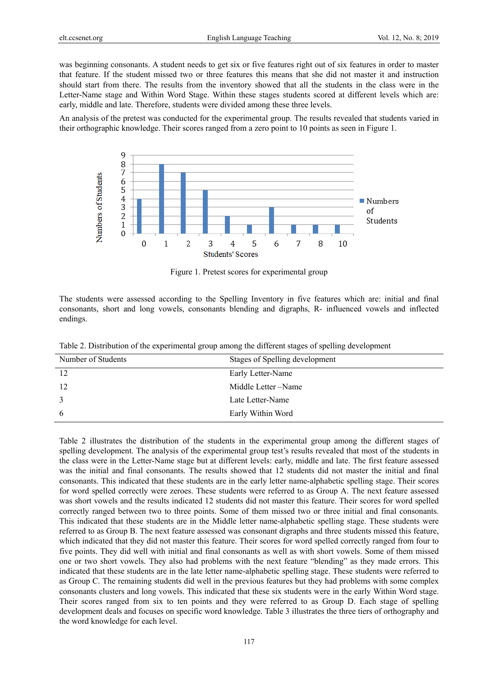was beginning consonants. A student needs to get six or five features right out of six features in order to master that feature. If the student missed two or three features this means that she did not master it and instruction should start from there. The results from the inventory showed that all the students in the class were in the Letter-Name stage and Within Word Stage. Within these stages students scored at different levels which are: early, middle and late. Therefore, students were divided among these three levels.

An analysis of the pretest was conducted for the experimental group. The results revealed that students varied in their orthographic knowledge. Their scores ranged from a zero point to 10 points as seen in Figure 1.



Figure 1. Pretest scores for experimental group

The students were assessed according to the Spelling Inventory in five features which are: initial and final consonants, short and long vowels, consonants blending and digraphs, R- influenced vowels and inflected endings.

| Number of Students | Stages of Spelling development |
|--------------------|--------------------------------|
| 12                 | Early Letter-Name              |
| 12                 | Middle Letter –Name            |
| 3                  | Late Letter-Name               |
| -6                 | Early Within Word              |

Table 2. Distribution of the experimental group among the different stages of spelling development

Table 2 illustrates the distribution of the students in the experimental group among the different stages of spelling development. The analysis of the experimental group test's results revealed that most of the students in the class were in the Letter-Name stage but at different levels: early, middle and late. The first feature assessed was the initial and final consonants. The results showed that 12 students did not master the initial and final consonants. This indicated that these students are in the early letter name-alphabetic spelling stage. Their scores for word spelled correctly were zeroes. These students were referred to as Group A. The next feature assessed was short vowels and the results indicated 12 students did not master this feature. Their scores for word spelled correctly ranged between two to three points. Some of them missed two or three initial and final consonants. This indicated that these students are in the Middle letter name-alphabetic spelling stage. These students were referred to as Group B. The next feature assessed was consonant digraphs and three students missed this feature, which indicated that they did not master this feature. Their scores for word spelled correctly ranged from four to five points. They did well with initial and final consonants as well as with short vowels. Some of them missed one or two short vowels. They also had problems with the next feature "blending" as they made errors. This indicated that these students are in the late letter name-alphabetic spelling stage. These students were referred to as Group C. The remaining students did well in the previous features but they had problems with some complex consonants clusters and long vowels. This indicated that these six students were in the early Within Word stage. Their scores ranged from six to ten points and they were referred to as Group D. Each stage of spelling development deals and focuses on specific word knowledge. Table 3 illustrates the three tiers of orthography and the word knowledge for each level.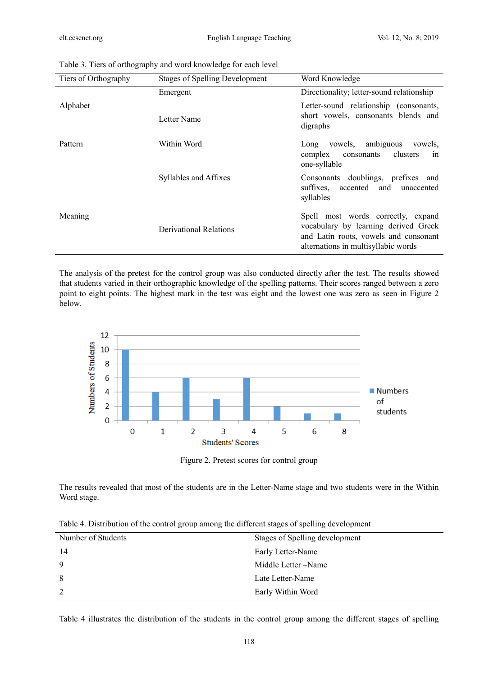| Tiers of Orthography | <b>Stages of Spelling Development</b> | Word Knowledge                                                                                                                                             |
|----------------------|---------------------------------------|------------------------------------------------------------------------------------------------------------------------------------------------------------|
|                      | Emergent                              | Directionality; letter-sound relationship                                                                                                                  |
| Alphabet             | Letter Name                           | Letter-sound relationship (consonants,<br>short vowels, consonants blends and<br>digraphs                                                                  |
| Pattern              | Within Word                           | ambiguous vowels,<br>vowels,<br>Long<br>clusters<br>complex<br>consonants<br>in<br>one-syllable                                                            |
|                      | Syllables and Affixes                 | doublings, prefixes and<br>Consonants<br>suffixes, accented and unaccented<br>syllables                                                                    |
| Meaning              | <b>Derivational Relations</b>         | Spell most words correctly, expand<br>vocabulary by learning derived Greek<br>and Latin roots, vowels and consonant<br>alternations in multisyllabic words |

|  |  | Table 3. Tiers of orthography and word knowledge for each level |
|--|--|-----------------------------------------------------------------|
|  |  |                                                                 |

The analysis of the pretest for the control group was also conducted directly after the test. The results showed that students varied in their orthographic knowledge of the spelling patterns. Their scores ranged between a zero point to eight points. The highest mark in the test was eight and the lowest one was zero as seen in Figure 2 below.



Figure 2. Pretest scores for control group

The results revealed that most of the students are in the Letter-Name stage and two students were in the Within Word stage.

| Table 4. Distribution of the control group among the different stages of spelling development |  |  |  |  |
|-----------------------------------------------------------------------------------------------|--|--|--|--|
|                                                                                               |  |  |  |  |

| Number of Students | Stages of Spelling development |
|--------------------|--------------------------------|
| 14                 | Early Letter-Name              |
| 9                  | Middle Letter – Name           |
| -8                 | Late Letter-Name               |
| 2                  | Early Within Word              |

Table 4 illustrates the distribution of the students in the control group among the different stages of spelling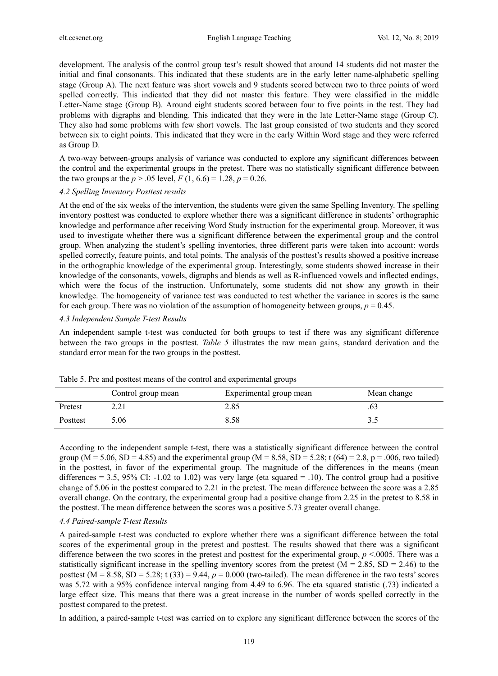development. The analysis of the control group test's result showed that around 14 students did not master the initial and final consonants. This indicated that these students are in the early letter name-alphabetic spelling stage (Group A). The next feature was short vowels and 9 students scored between two to three points of word spelled correctly. This indicated that they did not master this feature. They were classified in the middle Letter-Name stage (Group B). Around eight students scored between four to five points in the test. They had problems with digraphs and blending. This indicated that they were in the late Letter-Name stage (Group C). They also had some problems with few short vowels. The last group consisted of two students and they scored between six to eight points. This indicated that they were in the early Within Word stage and they were referred as Group D.

A two-way between-groups analysis of variance was conducted to explore any significant differences between the control and the experimental groups in the pretest. There was no statistically significant difference between the two groups at the  $p > .05$  level,  $F(1, 6.6) = 1.28$ ,  $p = 0.26$ .

# *4.2 Spelling Inventory Posttest results*

At the end of the six weeks of the intervention, the students were given the same Spelling Inventory. The spelling inventory posttest was conducted to explore whether there was a significant difference in students' orthographic knowledge and performance after receiving Word Study instruction for the experimental group. Moreover, it was used to investigate whether there was a significant difference between the experimental group and the control group. When analyzing the student's spelling inventories, three different parts were taken into account: words spelled correctly, feature points, and total points. The analysis of the posttest's results showed a positive increase in the orthographic knowledge of the experimental group. Interestingly, some students showed increase in their knowledge of the consonants, vowels, digraphs and blends as well as R-influenced vowels and inflected endings, which were the focus of the instruction. Unfortunately, some students did not show any growth in their knowledge. The homogeneity of variance test was conducted to test whether the variance in scores is the same for each group. There was no violation of the assumption of homogeneity between groups,  $p = 0.45$ .

#### *4.3 Independent Sample T-test Results*

An independent sample t-test was conducted for both groups to test if there was any significant difference between the two groups in the posttest. *Table 5* illustrates the raw mean gains, standard derivation and the standard error mean for the two groups in the posttest.

|          | Control group mean | Experimental group mean | Mean change |
|----------|--------------------|-------------------------|-------------|
| Pretest  | າາ1                | 2.85                    | .03         |
| Posttest | 5.06               | 8.58                    | ر. ر        |

Table 5. Pre and posttest means of the control and experimental groups

According to the independent sample t-test, there was a statistically significant difference between the control group ( $M = 5.06$ ,  $SD = 4.85$ ) and the experimental group ( $M = 8.58$ ,  $SD = 5.28$ ; t (64) = 2.8, p = .006, two tailed) in the posttest, in favor of the experimental group. The magnitude of the differences in the means (mean differences = 3.5, 95% CI: -1.02 to 1.02) was very large (eta squared = .10). The control group had a positive change of 5.06 in the posttest compared to 2.21 in the pretest. The mean difference between the score was a 2.85 overall change. On the contrary, the experimental group had a positive change from 2.25 in the pretest to 8.58 in the posttest. The mean difference between the scores was a positive 5.73 greater overall change.

#### *4.4 Paired-sample T-test Results*

A paired-sample t-test was conducted to explore whether there was a significant difference between the total scores of the experimental group in the pretest and posttest. The results showed that there was a significant difference between the two scores in the pretest and posttest for the experimental group, *p* <.0005. There was a statistically significant increase in the spelling inventory scores from the pretest ( $M = 2.85$ , SD = 2.46) to the posttest ( $M = 8.58$ ,  $SD = 5.28$ ; t (33) = 9.44,  $p = 0.000$  (two-tailed). The mean difference in the two tests' scores was 5.72 with a 95% confidence interval ranging from 4.49 to 6.96. The eta squared statistic (.73) indicated a large effect size. This means that there was a great increase in the number of words spelled correctly in the posttest compared to the pretest.

In addition, a paired-sample t-test was carried on to explore any significant difference between the scores of the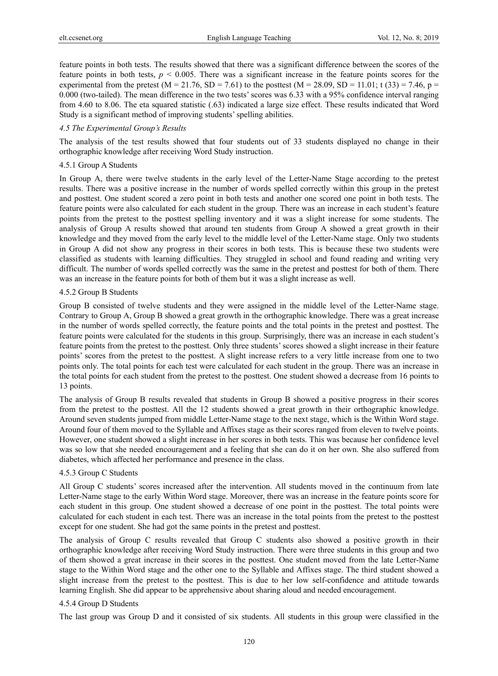feature points in both tests. The results showed that there was a significant difference between the scores of the feature points in both tests,  $p < 0.005$ . There was a significant increase in the feature points scores for the experimental from the pretest (M = 21.76, SD = 7.61) to the posttest (M = 28.09, SD = 11.01; t (33) = 7.46, p = 0.000 (two-tailed). The mean difference in the two tests' scores was 6.33 with a 95% confidence interval ranging from 4.60 to 8.06. The eta squared statistic (.63) indicated a large size effect. These results indicated that Word Study is a significant method of improving students' spelling abilities.

## *4.5 The Experimental Group's Results*

The analysis of the test results showed that four students out of 33 students displayed no change in their orthographic knowledge after receiving Word Study instruction.

#### 4.5.1 Group A Students

In Group A, there were twelve students in the early level of the Letter-Name Stage according to the pretest results. There was a positive increase in the number of words spelled correctly within this group in the pretest and posttest. One student scored a zero point in both tests and another one scored one point in both tests. The feature points were also calculated for each student in the group. There was an increase in each student's feature points from the pretest to the posttest spelling inventory and it was a slight increase for some students. The analysis of Group A results showed that around ten students from Group A showed a great growth in their knowledge and they moved from the early level to the middle level of the Letter-Name stage. Only two students in Group A did not show any progress in their scores in both tests. This is because these two students were classified as students with learning difficulties. They struggled in school and found reading and writing very difficult. The number of words spelled correctly was the same in the pretest and posttest for both of them. There was an increase in the feature points for both of them but it was a slight increase as well.

### 4.5.2 Group B Students

Group B consisted of twelve students and they were assigned in the middle level of the Letter-Name stage. Contrary to Group A, Group B showed a great growth in the orthographic knowledge. There was a great increase in the number of words spelled correctly, the feature points and the total points in the pretest and posttest. The feature points were calculated for the students in this group. Surprisingly, there was an increase in each student's feature points from the pretest to the posttest. Only three students' scores showed a slight increase in their feature points' scores from the pretest to the posttest. A slight increase refers to a very little increase from one to two points only. The total points for each test were calculated for each student in the group. There was an increase in the total points for each student from the pretest to the posttest. One student showed a decrease from 16 points to 13 points.

The analysis of Group B results revealed that students in Group B showed a positive progress in their scores from the pretest to the posttest. All the 12 students showed a great growth in their orthographic knowledge. Around seven students jumped from middle Letter-Name stage to the next stage, which is the Within Word stage. Around four of them moved to the Syllable and Affixes stage as their scores ranged from eleven to twelve points. However, one student showed a slight increase in her scores in both tests. This was because her confidence level was so low that she needed encouragement and a feeling that she can do it on her own. She also suffered from diabetes, which affected her performance and presence in the class.

## 4.5.3 Group C Students

All Group C students' scores increased after the intervention. All students moved in the continuum from late Letter-Name stage to the early Within Word stage. Moreover, there was an increase in the feature points score for each student in this group. One student showed a decrease of one point in the posttest. The total points were calculated for each student in each test. There was an increase in the total points from the pretest to the posttest except for one student. She had got the same points in the pretest and posttest.

The analysis of Group C results revealed that Group C students also showed a positive growth in their orthographic knowledge after receiving Word Study instruction. There were three students in this group and two of them showed a great increase in their scores in the posttest. One student moved from the late Letter-Name stage to the Within Word stage and the other one to the Syllable and Affixes stage. The third student showed a slight increase from the pretest to the posttest. This is due to her low self-confidence and attitude towards learning English. She did appear to be apprehensive about sharing aloud and needed encouragement.

#### 4.5.4 Group D Students

The last group was Group D and it consisted of six students. All students in this group were classified in the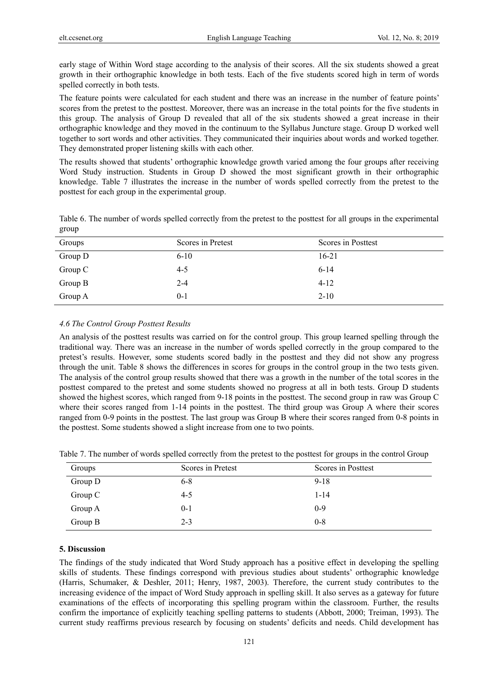early stage of Within Word stage according to the analysis of their scores. All the six students showed a great growth in their orthographic knowledge in both tests. Each of the five students scored high in term of words spelled correctly in both tests.

The feature points were calculated for each student and there was an increase in the number of feature points' scores from the pretest to the posttest. Moreover, there was an increase in the total points for the five students in this group. The analysis of Group D revealed that all of the six students showed a great increase in their orthographic knowledge and they moved in the continuum to the Syllabus Juncture stage. Group D worked well together to sort words and other activities. They communicated their inquiries about words and worked together. They demonstrated proper listening skills with each other.

The results showed that students' orthographic knowledge growth varied among the four groups after receiving Word Study instruction. Students in Group D showed the most significant growth in their orthographic knowledge. Table 7 illustrates the increase in the number of words spelled correctly from the pretest to the posttest for each group in the experimental group.

Table 6. The number of words spelled correctly from the pretest to the posttest for all groups in the experimental group

| Groups  | Scores in Pretest | Scores in Posttest |
|---------|-------------------|--------------------|
| Group D | $6 - 10$          | $16-21$            |
| Group C | $4 - 5$           | $6-14$             |
| Group B | $2 - 4$           | $4-12$             |
| Group A | $0 - 1$           | $2 - 10$           |

### *4.6 The Control Group Posttest Results*

An analysis of the posttest results was carried on for the control group. This group learned spelling through the traditional way. There was an increase in the number of words spelled correctly in the group compared to the pretest's results. However, some students scored badly in the posttest and they did not show any progress through the unit. Table 8 shows the differences in scores for groups in the control group in the two tests given. The analysis of the control group results showed that there was a growth in the number of the total scores in the posttest compared to the pretest and some students showed no progress at all in both tests. Group D students showed the highest scores, which ranged from 9-18 points in the posttest. The second group in raw was Group C where their scores ranged from 1-14 points in the posttest. The third group was Group A where their scores ranged from 0-9 points in the posttest. The last group was Group B where their scores ranged from 0-8 points in the posttest. Some students showed a slight increase from one to two points.

| Groups  | Scores in Pretest | Scores in Posttest |  |
|---------|-------------------|--------------------|--|
| Group D | $6 - 8$           | $9 - 18$           |  |
| Group C | $4-5$             | $1 - 14$           |  |
| Group A | $0-1$             | $0 - 9$            |  |
| Group B | $2 - 3$           | $0 - 8$            |  |

Table 7. The number of words spelled correctly from the pretest to the posttest for groups in the control Group

# **5. Discussion**

The findings of the study indicated that Word Study approach has a positive effect in developing the spelling skills of students. These findings correspond with previous studies about students' orthographic knowledge (Harris, Schumaker, & Deshler, 2011; Henry, 1987, 2003). Therefore, the current study contributes to the increasing evidence of the impact of Word Study approach in spelling skill. It also serves as a gateway for future examinations of the effects of incorporating this spelling program within the classroom. Further, the results confirm the importance of explicitly teaching spelling patterns to students (Abbott, 2000; Treiman, 1993). The current study reaffirms previous research by focusing on students' deficits and needs. Child development has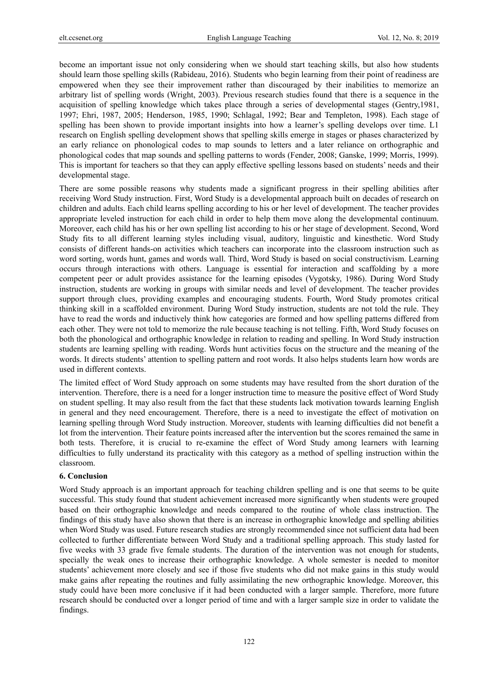become an important issue not only considering when we should start teaching skills, but also how students should learn those spelling skills (Rabideau, 2016). Students who begin learning from their point of readiness are empowered when they see their improvement rather than discouraged by their inabilities to memorize an arbitrary list of spelling words (Wright, 2003). Previous research studies found that there is a sequence in the acquisition of spelling knowledge which takes place through a series of developmental stages (Gentry,1981, 1997; Ehri, 1987, 2005; Henderson, 1985, 1990; Schlagal, 1992; Bear and Templeton, 1998). Each stage of spelling has been shown to provide important insights into how a learner's spelling develops over time. L1 research on English spelling development shows that spelling skills emerge in stages or phases characterized by an early reliance on phonological codes to map sounds to letters and a later reliance on orthographic and phonological codes that map sounds and spelling patterns to words (Fender, 2008; Ganske, 1999; Morris, 1999). This is important for teachers so that they can apply effective spelling lessons based on students' needs and their developmental stage.

There are some possible reasons why students made a significant progress in their spelling abilities after receiving Word Study instruction. First, Word Study is a developmental approach built on decades of research on children and adults. Each child learns spelling according to his or her level of development. The teacher provides appropriate leveled instruction for each child in order to help them move along the developmental continuum. Moreover, each child has his or her own spelling list according to his or her stage of development. Second, Word Study fits to all different learning styles including visual, auditory, linguistic and kinesthetic. Word Study consists of different hands-on activities which teachers can incorporate into the classroom instruction such as word sorting, words hunt, games and words wall. Third, Word Study is based on social constructivism. Learning occurs through interactions with others. Language is essential for interaction and scaffolding by a more competent peer or adult provides assistance for the learning episodes (Vygotsky, 1986). During Word Study instruction, students are working in groups with similar needs and level of development. The teacher provides support through clues, providing examples and encouraging students. Fourth, Word Study promotes critical thinking skill in a scaffolded environment. During Word Study instruction, students are not told the rule. They have to read the words and inductively think how categories are formed and how spelling patterns differed from each other. They were not told to memorize the rule because teaching is not telling. Fifth, Word Study focuses on both the phonological and orthographic knowledge in relation to reading and spelling. In Word Study instruction students are learning spelling with reading. Words hunt activities focus on the structure and the meaning of the words. It directs students' attention to spelling pattern and root words. It also helps students learn how words are used in different contexts.

The limited effect of Word Study approach on some students may have resulted from the short duration of the intervention. Therefore, there is a need for a longer instruction time to measure the positive effect of Word Study on student spelling. It may also result from the fact that these students lack motivation towards learning English in general and they need encouragement. Therefore, there is a need to investigate the effect of motivation on learning spelling through Word Study instruction. Moreover, students with learning difficulties did not benefit a lot from the intervention. Their feature points increased after the intervention but the scores remained the same in both tests. Therefore, it is crucial to re-examine the effect of Word Study among learners with learning difficulties to fully understand its practicality with this category as a method of spelling instruction within the classroom.

#### **6. Conclusion**

Word Study approach is an important approach for teaching children spelling and is one that seems to be quite successful. This study found that student achievement increased more significantly when students were grouped based on their orthographic knowledge and needs compared to the routine of whole class instruction. The findings of this study have also shown that there is an increase in orthographic knowledge and spelling abilities when Word Study was used. Future research studies are strongly recommended since not sufficient data had been collected to further differentiate between Word Study and a traditional spelling approach. This study lasted for five weeks with 33 grade five female students. The duration of the intervention was not enough for students, specially the weak ones to increase their orthographic knowledge. A whole semester is needed to monitor students' achievement more closely and see if those five students who did not make gains in this study would make gains after repeating the routines and fully assimilating the new orthographic knowledge. Moreover, this study could have been more conclusive if it had been conducted with a larger sample. Therefore, more future research should be conducted over a longer period of time and with a larger sample size in order to validate the findings.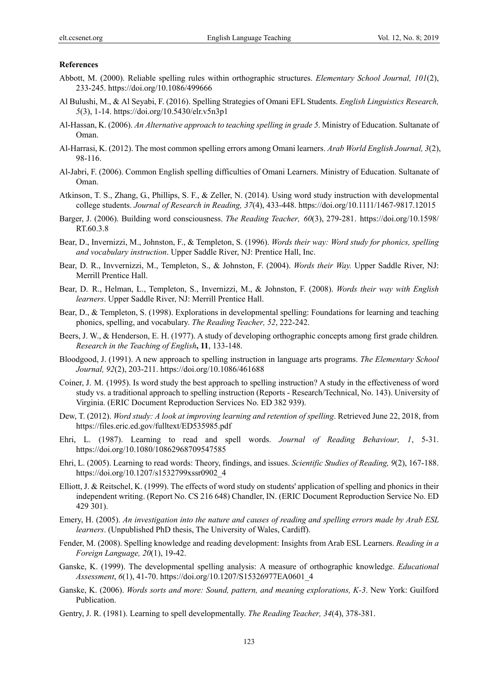### **References**

- Abbott, M. (2000). Reliable spelling rules within orthographic structures. *Elementary School Journal, 101*(2), 233-245. https://doi.org/10.1086/499666
- Al Bulushi, M., & Al Seyabi, F. (2016). Spelling Strategies of Omani EFL Students. *English Linguistics Research, 5*(3), 1-14. https://doi.org/10.5430/elr.v5n3p1
- Al-Hassan, K. (2006). *An Alternative approach to teaching spelling in grade 5*. Ministry of Education. Sultanate of Oman.
- Al-Harrasi, K. (2012). The most common spelling errors among Omani learners. *Arab World English Journal, 3*(2), 98-116.
- Al-Jabri, F. (2006). Common English spelling difficulties of Omani Learners. Ministry of Education. Sultanate of Oman.
- Atkinson, T. S., Zhang, G., Phillips, S. F., & Zeller, N. (2014). Using word study instruction with developmental college students. *Journal of Research in Reading, 37*(4), 433-448. https://doi.org/10.1111/1467-9817.12015
- Barger, J. (2006). Building word consciousness. *The Reading Teacher, 60*(3), 279-281. https://doi.org/10.1598/ RT.60.3.8
- Bear, D., Invernizzi, M., Johnston, F., & Templeton, S. (1996). *Words their way: Word study for phonics, spelling and vocabulary instruction*. Upper Saddle River, NJ: Prentice Hall, Inc.
- Bear, D. R., Invvernizzi, M., Templeton, S., & Johnston, F. (2004). *Words their Way.* Upper Saddle River, NJ: Merrill Prentice Hall.
- Bear, D. R., Helman, L., Templeton, S., Invernizzi, M., & Johnston, F. (2008). *Words their way with English learners*. Upper Saddle River, NJ: Merrill Prentice Hall.
- Bear, D., & Templeton, S. (1998). Explorations in developmental spelling: Foundations for learning and teaching phonics, spelling, and vocabulary. *The Reading Teacher, 52*, 222-242.
- Beers, J. W., & Henderson, E. H. (1977). A study of developing orthographic concepts among first grade children*. Research in the Teaching of English***, 11**, 133-148.
- Bloodgood, J. (1991). A new approach to spelling instruction in language arts programs. *The Elementary School Journal, 92*(2), 203-211. https://doi.org/10.1086/461688
- Coiner, J. M. (1995). Is word study the best approach to spelling instruction? A study in the effectiveness of word study vs. a traditional approach to spelling instruction (Reports - Research/Technical, No. 143). University of Virginia. (ERIC Document Reproduction Services No. ED 382 939).
- Dew, T. (2012). *Word study: A look at improving learning and retention of spelling*. Retrieved June 22, 2018, from https://files.eric.ed.gov/fulltext/ED535985.pdf
- Ehri, L. (1987). Learning to read and spell words. *Journal of Reading Behaviour, 1*, 5-31. https://doi.org/10.1080/10862968709547585
- Ehri, L. (2005). Learning to read words: Theory, findings, and issues. *Scientific Studies of Reading, 9*(2), 167-188. https://doi.org/10.1207/s1532799xssr0902\_4
- Elliott, J. & Reitschel, K. (1999). The effects of word study on students' application of spelling and phonics in their independent writing. (Report No. CS 216 648) Chandler, IN. (ERIC Document Reproduction Service No. ED 429 301).
- Emery, H. (2005). *An investigation into the nature and causes of reading and spelling errors made by Arab ESL learners*. (Unpublished PhD thesis, The University of Wales, Cardiff).
- Fender, M. (2008). Spelling knowledge and reading development: Insights from Arab ESL Learners. *Reading in a Foreign Language, 20*(1), 19-42.
- Ganske, K. (1999). The developmental spelling analysis: A measure of orthographic knowledge. *Educational Assessment*, *6*(1), 41-70. https://doi.org/10.1207/S15326977EA0601\_4
- Ganske, K. (2006). *Words sorts and more: Sound, pattern, and meaning explorations, K-3*. New York: Guilford Publication.
- Gentry, J. R. (1981). Learning to spell developmentally. *The Reading Teacher, 34*(4), 378-381.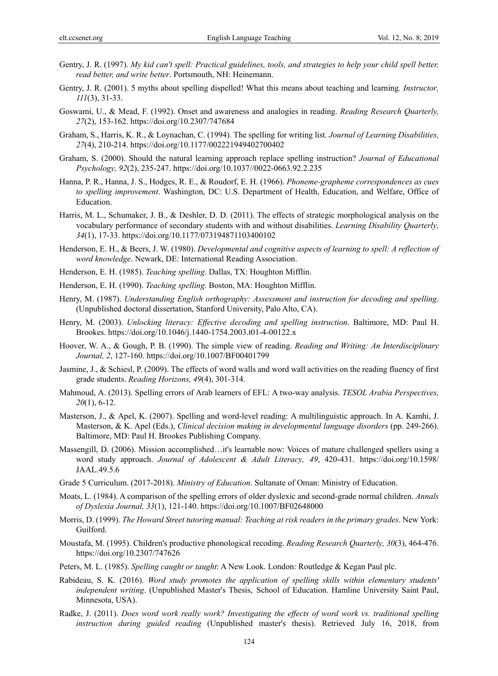- Gentry, J. R. (1997). *My kid can't spell: Practical guidelines, tools, and strategies to help your child spell better, read better, and write better*. Portsmouth, NH: Heinemann.
- Gentry, J. R. (2001). 5 myths about spelling dispelled! What this means about teaching and learning*. Instructor, 111*(3), 31-33.
- Goswami, U., & Mead, F. (1992). Onset and awareness and analogies in reading. *Reading Research Quarterly, 27*(2), 153-162. https://doi.org/10.2307/747684
- Graham, S., Harris, K. R., & Loynachan, C. (1994). The spelling for writing list. *Journal of Learning Disabilities, 27*(4), 210-214. https://doi.org/10.1177/002221949402700402
- Graham, S. (2000). Should the natural learning approach replace spelling instruction? *Journal of Educational Psychology, 92*(2), 235-247. https://doi.org/10.1037//0022-0663.92.2.235
- Hanna, P. R., Hanna, J. S., Hodges, R. E., & Roudorf, E. H. (1966). *Phoneme-grapheme correspondences as cues to spelling improvement*. Washington, DC: U.S. Department of Health, Education, and Welfare, Office of Education.
- Harris, M. L., Schumaker, J. B., & Deshler, D. D. (2011). The effects of strategic morphological analysis on the vocabulary performance of secondary students with and without disabilities. *Learning Disability Quarterly, 34*(1), 17-33. https://doi.org/10.1177/073194871103400102
- Henderson, E. H., & Beers, J. W. (1980). *Developmental and cognitive aspects of learning to spell: A reflection of word knowledge*. Newark, DE: International Reading Association.
- Henderson, E. H. (1985). *Teaching spelling*. Dallas, TX: Houghton Mifflin.
- Henderson, E. H. (1990). *Teaching spelling*. Boston, MA: Houghton Mifflin.
- Henry, M. (1987). *Understanding English orthography: Assessment and instruction for decoding and spelling*. (Unpublished doctoral dissertation, Stanford University, Palo Alto, CA).
- Henry, M. (2003). *Unlocking literacy: Effective decoding and spelling instruction*. Baltimore, MD: Paul H. Brookes. https://doi.org/10.1046/j.1440-1754.2003.t01-4-00122.x
- Hoover, W. A., & Gough, P. B. (1990). The simple view of reading. *Reading and Writing: An Interdisciplinary Journal, 2*, 127-160. https://doi.org/10.1007/BF00401799
- Jasmine, J., & Schiesl, P. (2009). The effects of word walls and word wall activities on the reading fluency of first grade students. *Reading Horizons, 49*(4), 301-314.
- Mahmoud, A. (2013). Spelling errors of Arab learners of EFL: A two-way analysis. *TESOL Arabia Perspectives, 20*(1), 6-12.
- Masterson, J., & Apel, K. (2007). Spelling and word-level reading: A multilinguistic approach. In A. Kamhi, J. Masterson, & K. Apel (Eds.), *Clinical decision making in developmental language disorders* (pp. 249-266). Baltimore, MD: Paul H. Brookes Publishing Company.
- Massengill, D. (2006). Mission accomplished…it's learnable now: Voices of mature challenged spellers using a word study approach. *Journal of Adolescent & Adult Literacy, 49*, 420-431. https://doi.org/10.1598/ JAAL.49.5.6
- Grade 5 Curriculum. (2017-2018). *Ministry of Education*. Sultanate of Oman: Ministry of Education.
- Moats, L. (1984). A comparison of the spelling errors of older dyslexic and second-grade normal children. *Annals of Dyslexia Journal, 33*(1), 121-140. https://doi.org/10.1007/BF02648000
- Morris, D. (1999). *The Howard Street tutoring manual: Teaching at risk readers in the primary grades*. New York: Guilford.
- Moustafa, M. (1995). Children's productive phonological recoding. *Reading Research Quarterly, 30*(3), 464-476. https://doi.org/10.2307/747626
- Peters, M. L. (1985). *Spelling caught or taught*: A New Look. London: Routledge & Kegan Paul plc.
- Rabideau, S. K. (2016). *Word study promotes the application of spelling skills within elementary students' independent writing*. (Unpublished Master's Thesis, School of Education. Hamline University Saint Paul, Minnesota, USA).
- Radke, J. (2011). *Does word work really work? Investigating the effects of word work vs. traditional spelling instruction during guided reading* (Unpublished master's thesis). Retrieved July 16, 2018, from